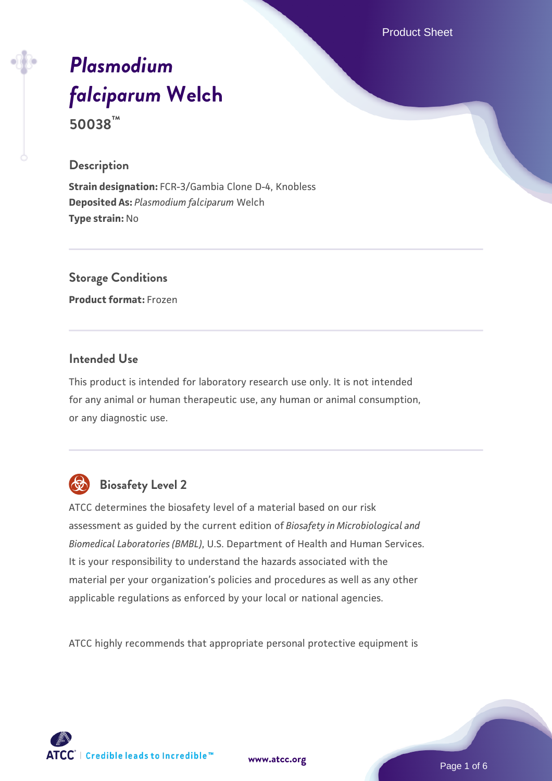Product Sheet

# *[Plasmodium](https://www.atcc.org/products/50038) [falciparum](https://www.atcc.org/products/50038)* **[Welch](https://www.atcc.org/products/50038) 50038™**

#### **Description**

**Strain designation:** FCR-3/Gambia Clone D-4, Knobless **Deposited As:** *Plasmodium falciparum* Welch **Type strain:** No

**Storage Conditions Product format:** Frozen

#### **Intended Use**

This product is intended for laboratory research use only. It is not intended for any animal or human therapeutic use, any human or animal consumption, or any diagnostic use.



# **Biosafety Level 2**

ATCC determines the biosafety level of a material based on our risk assessment as guided by the current edition of *Biosafety in Microbiological and Biomedical Laboratories (BMBL)*, U.S. Department of Health and Human Services. It is your responsibility to understand the hazards associated with the material per your organization's policies and procedures as well as any other applicable regulations as enforced by your local or national agencies.

ATCC highly recommends that appropriate personal protective equipment is



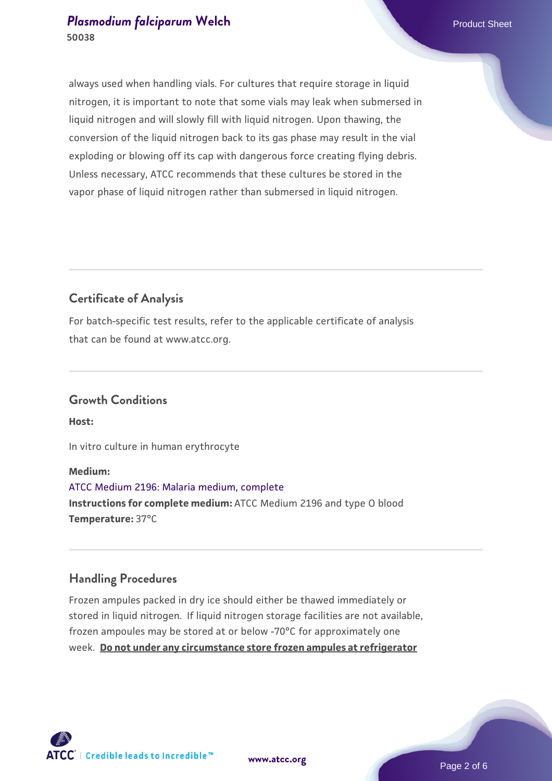#### **[Plasmodium falciparum](https://www.atcc.org/products/50038) [Welch](https://www.atcc.org/products/50038) Product Sheet** Product Sheet **50038**

always used when handling vials. For cultures that require storage in liquid nitrogen, it is important to note that some vials may leak when submersed in liquid nitrogen and will slowly fill with liquid nitrogen. Upon thawing, the conversion of the liquid nitrogen back to its gas phase may result in the vial exploding or blowing off its cap with dangerous force creating flying debris. Unless necessary, ATCC recommends that these cultures be stored in the vapor phase of liquid nitrogen rather than submersed in liquid nitrogen.

## **Certificate of Analysis**

For batch-specific test results, refer to the applicable certificate of analysis that can be found at www.atcc.org.

#### **Growth Conditions**

**Host:**

In vitro culture in human erythrocyte

#### **Medium:**

[ATCC Medium 2196: Malaria medium, complete](https://www.atcc.org/-/media/product-assets/documents/microbial-media-formulations/2/1/9/6/atcc-medium-2196.pdf?rev=c48d70853f9d4895bb063027b6c73b15) **Instructions for complete medium:** ATCC Medium 2196 and type O blood **Temperature:** 37°C

### **Handling Procedures**

Frozen ampules packed in dry ice should either be thawed immediately or stored in liquid nitrogen. If liquid nitrogen storage facilities are not available, frozen ampoules may be stored at or below -70°C for approximately one week. **Do not under any circumstance store frozen ampules at refrigerator**



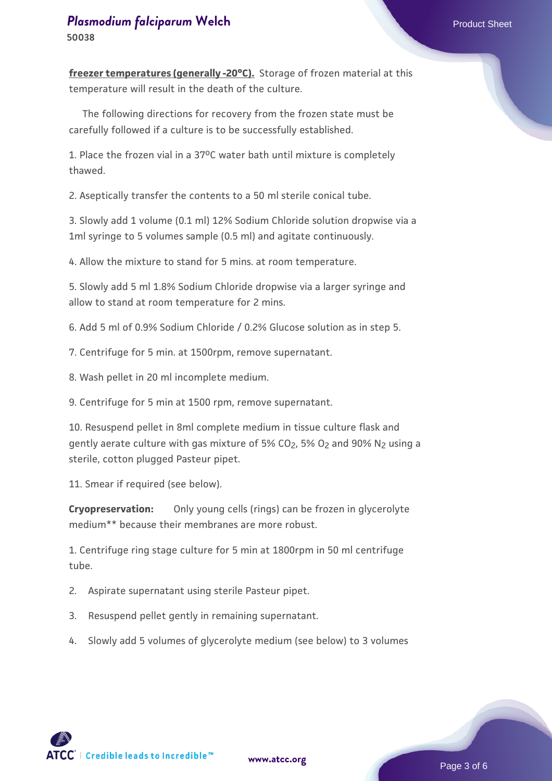**freezer temperatures (generally -20°C).** Storage of frozen material at this temperature will result in the death of the culture.

 The following directions for recovery from the frozen state must be carefully followed if a culture is to be successfully established.

1. Place the frozen vial in a 37oC water bath until mixture is completely thawed.

2. Aseptically transfer the contents to a 50 ml sterile conical tube.

3. Slowly add 1 volume (0.1 ml) 12% Sodium Chloride solution dropwise via a 1ml syringe to 5 volumes sample (0.5 ml) and agitate continuously.

4. Allow the mixture to stand for 5 mins. at room temperature.

5. Slowly add 5 ml 1.8% Sodium Chloride dropwise via a larger syringe and allow to stand at room temperature for 2 mins.

6. Add 5 ml of 0.9% Sodium Chloride / 0.2% Glucose solution as in step 5.

7. Centrifuge for 5 min. at 1500rpm, remove supernatant.

8. Wash pellet in 20 ml incomplete medium.

9. Centrifuge for 5 min at 1500 rpm, remove supernatant.

10. Resuspend pellet in 8ml complete medium in tissue culture flask and gently aerate culture with gas mixture of 5% CO<sub>2</sub>, 5% O<sub>2</sub> and 90% N<sub>2</sub> using a sterile, cotton plugged Pasteur pipet.

11. Smear if required (see below).

**Cryopreservation:**  Only young cells (rings) can be frozen in glycerolyte medium\*\* because their membranes are more robust.

1. Centrifuge ring stage culture for 5 min at 1800rpm in 50 ml centrifuge tube.

- 2. Aspirate supernatant using sterile Pasteur pipet.
- 3. Resuspend pellet gently in remaining supernatant.
- 4. Slowly add 5 volumes of glycerolyte medium (see below) to 3 volumes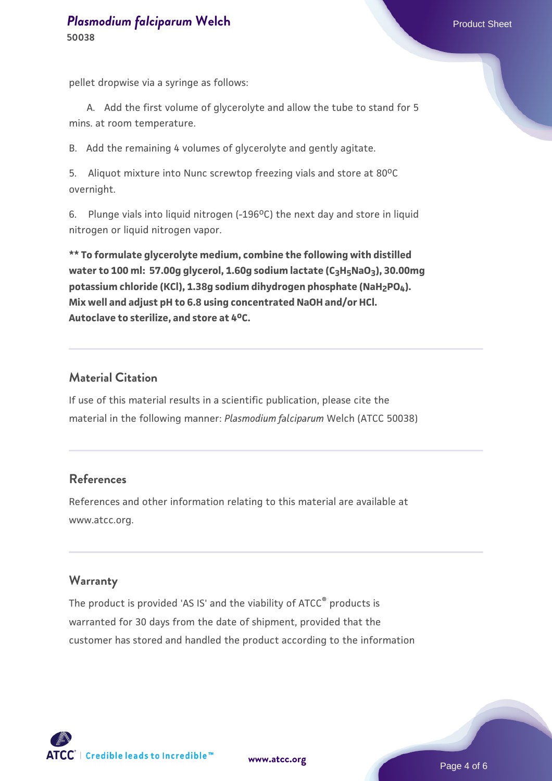#### **[Plasmodium falciparum](https://www.atcc.org/products/50038) [Welch](https://www.atcc.org/products/50038) Product Sheet** Product Sheet **50038**

pellet dropwise via a syringe as follows:

A. Add the first volume of glycerolyte and allow the tube to stand for 5 mins. at room temperature.

B. Add the remaining 4 volumes of glycerolyte and gently agitate.

5. Aliquot mixture into Nunc screwtop freezing vials and store at 80°C overnight.

6. Plunge vials into liquid nitrogen  $(-196^{\circ}C)$  the next day and store in liquid nitrogen or liquid nitrogen vapor.

**\*\* To formulate glycerolyte medium, combine the following with distilled water to 100 ml: 57.00g glycerol, 1.60g sodium lactate (C3H5NaO3), 30.00mg potassium chloride (KCl), 1.38g sodium dihydrogen phosphate (NaH2PO4). Mix well and adjust pH to 6.8 using concentrated NaOH and/or HCl. Autoclave to sterilize, and store at 4oC.**

#### **Material Citation**

If use of this material results in a scientific publication, please cite the material in the following manner: *Plasmodium falciparum* Welch (ATCC 50038)

### **References**

References and other information relating to this material are available at www.atcc.org.

#### **Warranty**

The product is provided 'AS IS' and the viability of ATCC® products is warranted for 30 days from the date of shipment, provided that the customer has stored and handled the product according to the information

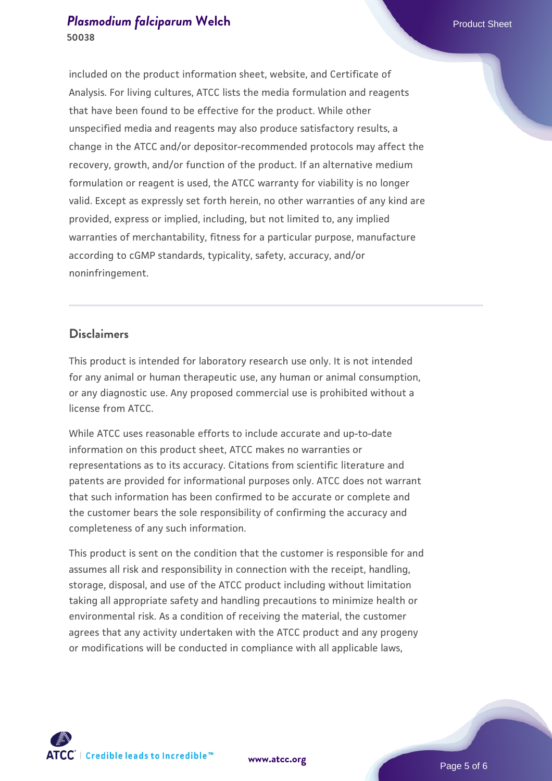#### **[Plasmodium falciparum](https://www.atcc.org/products/50038) [Welch](https://www.atcc.org/products/50038) Product Sheet** Product Sheet **50038**

included on the product information sheet, website, and Certificate of Analysis. For living cultures, ATCC lists the media formulation and reagents that have been found to be effective for the product. While other unspecified media and reagents may also produce satisfactory results, a change in the ATCC and/or depositor-recommended protocols may affect the recovery, growth, and/or function of the product. If an alternative medium formulation or reagent is used, the ATCC warranty for viability is no longer valid. Except as expressly set forth herein, no other warranties of any kind are provided, express or implied, including, but not limited to, any implied warranties of merchantability, fitness for a particular purpose, manufacture according to cGMP standards, typicality, safety, accuracy, and/or noninfringement.

#### **Disclaimers**

This product is intended for laboratory research use only. It is not intended for any animal or human therapeutic use, any human or animal consumption, or any diagnostic use. Any proposed commercial use is prohibited without a license from ATCC.

While ATCC uses reasonable efforts to include accurate and up-to-date information on this product sheet, ATCC makes no warranties or representations as to its accuracy. Citations from scientific literature and patents are provided for informational purposes only. ATCC does not warrant that such information has been confirmed to be accurate or complete and the customer bears the sole responsibility of confirming the accuracy and completeness of any such information.

This product is sent on the condition that the customer is responsible for and assumes all risk and responsibility in connection with the receipt, handling, storage, disposal, and use of the ATCC product including without limitation taking all appropriate safety and handling precautions to minimize health or environmental risk. As a condition of receiving the material, the customer agrees that any activity undertaken with the ATCC product and any progeny or modifications will be conducted in compliance with all applicable laws,



**[www.atcc.org](http://www.atcc.org)**

Page 5 of 6